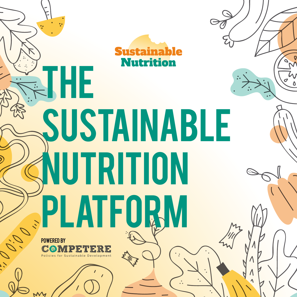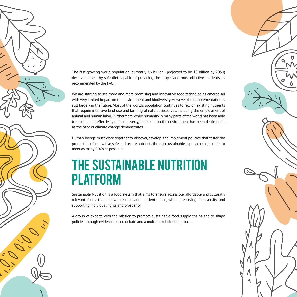

The fast-growing world population (currently 7.6 billion - projected to be 10 billion by 2050) deserves a healthy, safe diet capable of providing the proper and most effective nutrients, as recommended by the FAO.

We are starting to see more and more promising and innovative food technologies emerge, all with very limited impact on the environment and biodiversity. However, their implementation is still largely in the future. Most of the world's population continues to rely on existing nutrients that require intensive land use and farming of natural resources, including the employment of animal and human labor. Furthermore, while humanity in many parts of the world has been able to prosper and effectively reduce poverty, its impact on the environment has been detrimental, as the pace of climate change demonstrates.

Human beings must work together to discover, develop and implement policies that foster the production of innovative, safe and secure nutrients through sustainable supply chains, in order to meet as many SDGs as possible.

# THE SUSTAINABLE NUTRITION PLATFORM

Sustainable Nutrition is a food system that aims to ensure accessible, affordable and culturally relevant foods that are wholesome and nutrient-dense, while preserving biodiversity and supporting individual rights and prosperity.

A group of experts with the mission to promote sustainable food supply chains and to shape policies through evidence-based debate and a multi-stakeholder approach.

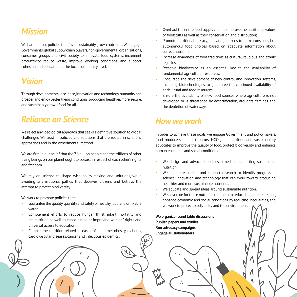## *Mission*

We hammer out policies that favor sustainably grown nutrients. We engage Governments, global supply chain players, non-governmental organizations, consumer groups and civil society to innovate food systems, increment productivity, reduce waste, improve working conditions, and support cohesion and education at the local community level.

## *Vision*

Through developments in science, innovation and technology, humanity can prosper and enjoy better living conditions, producing healthier, more secure, and sustainably grown food for all.

### *Reliance on Science*

We reject any ideological approach that seeks a definitive solution to global challenges. We trust in policies and solutions that are rooted in scientific approaches and in the experimental method.

We are firm in our belief that the 7.6 billion people and the trillions of other living beings on our planet ought to coexist in respect of each other's rights and freedom.

We rely on science to shape wise policy-making and solutions, while avoiding any irrational pathos that deceives citizens and betrays the attempt to protect biodiversity.

We work to promote policies that:

- Guarantee the quality, quantity and safety of healthy food and drinkable water;
- Complement efforts to reduce hunger, thirst, infant mortality and malnutrition as well as those aimed at improving workers' rights and universal access to education;
- Combat the nutrition-related diseases of our time: obesity, diabetes, cardiovascular diseases, cancer and infectious epidemics;
- Overhaul the entire food supply chain to improve the nutritional values of foodstuffs as well as their conservation and distribution;
- Promote nutritional literacy, educating citizens to make conscious but autonomous food choices based on adequate information about correct nutrition;
- Increase awareness of food traditions as cultural, religious and ethnic legacies;
- Preserve biodiversity, as an essential key to the availability of fundamental agricultural resources;
- Encourage the development of new control and innovation systems, including biotechnologies, to guarantee the continued availability of agricultural and food resources;
- Ensure the availability of new food sources where agriculture is not developed or is threatened by desertification, droughts, famines and the depletion of waterways.

#### *How we work*

In order to achieve these goals, we engage Government and policymakers, food producers and distributors, NGOs, and nutrition and sustainability advocates to improve the quality of food, protect biodiversity and enhance human economic and social conditions.

- We design and advocate policies aimed at supporting sustainable nutrition.
- We elaborate studies and support research to identify progress in science, innovation and technology that can work toward producing healthier and more sustainable nutrients.
- We educate and spread ideas around sustainable nutrition.
- We advocate for those nutrients that help to reduce hunger, create jobs, enhance economic and social conditions by reducing inequalities, and we work to protect biodiversity and the environment.

**We organize round table discussions Publish papers and studies Run advocacy campaigns Engage all stakeholders**